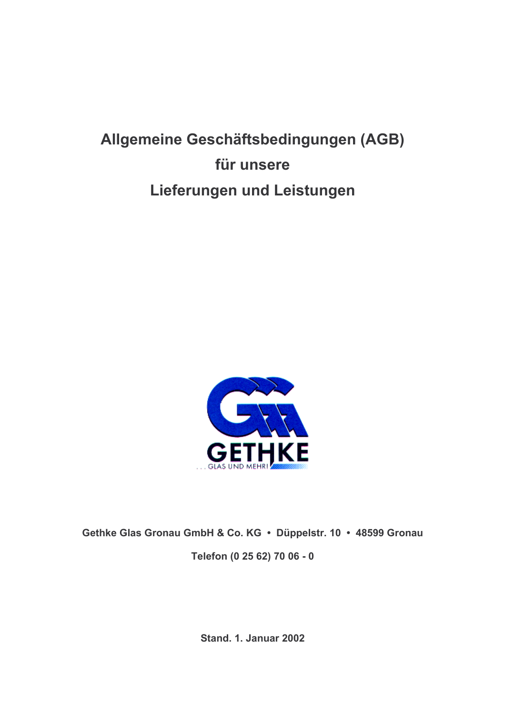# Allgemeine Geschäftsbedingungen (AGB) für unsere Lieferungen und Leistungen



Gethke Glas Gronau GmbH & Co. KG · Düppelstr. 10 · 48599 Gronau Telefon (0 25 62) 70 06 - 0

**Stand. 1. Januar 2002**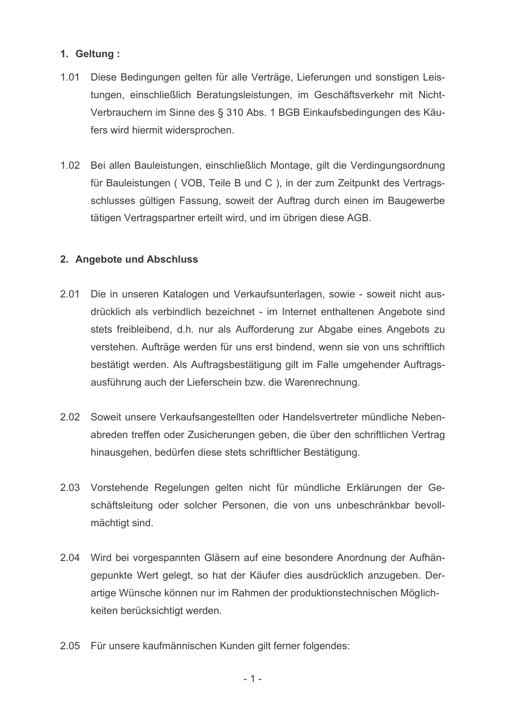## 1. Geltung:

- $1.01$ Diese Bedingungen gelten für alle Verträge, Lieferungen und sonstigen Leistungen, einschließlich Beratungsleistungen, im Geschäftsverkehr mit Nicht-Verbrauchern im Sinne des § 310 Abs. 1 BGB Einkaufsbedingungen des Käufers wird hiermit widersprochen.
- 1.02 Bei allen Bauleistungen, einschließlich Montage, gilt die Verdingungsordnung für Bauleistungen (VOB, Teile B und C), in der zum Zeitpunkt des Vertragsschlusses gültigen Fassung, soweit der Auftrag durch einen im Baugewerbe tätigen Vertragspartner erteilt wird, und im übrigen diese AGB.

## 2. Angebote und Abschluss

- 2.01 Die in unseren Katalogen und Verkaufsunterlagen, sowie - soweit nicht ausdrücklich als verbindlich bezeichnet - im Internet enthaltenen Angebote sind stets freibleibend, d.h. nur als Aufforderung zur Abgabe eines Angebots zu verstehen. Aufträge werden für uns erst bindend, wenn sie von uns schriftlich bestätigt werden. Als Auftragsbestätigung gilt im Falle umgehender Auftragsausführung auch der Lieferschein bzw. die Warenrechnung.
- $2.02$ Soweit unsere Verkaufsangestellten oder Handelsvertreter mündliche Nebenabreden treffen oder Zusicherungen geben, die über den schriftlichen Vertrag hinausgehen, bedürfen diese stets schriftlicher Bestätigung.
- 2.03 Vorstehende Regelungen gelten nicht für mündliche Erklärungen der Geschäftsleitung oder solcher Personen, die von uns unbeschränkbar bevollmächtigt sind.
- 2.04 Wird bei vorgespannten Gläsern auf eine besondere Anordnung der Aufhängepunkte Wert gelegt, so hat der Käufer dies ausdrücklich anzugeben. Derartige Wünsche können nur im Rahmen der produktionstechnischen Möglichkeiten berücksichtigt werden.
- $2.05$ Für unsere kaufmännischen Kunden gilt ferner folgendes: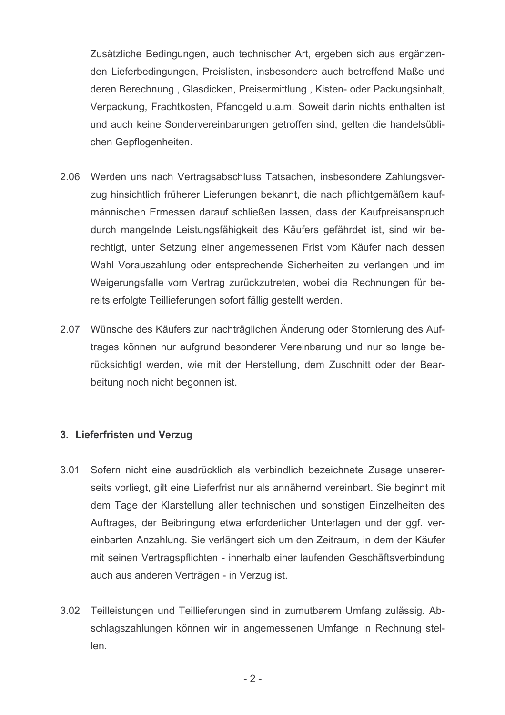Zusätzliche Bedingungen, auch technischer Art, ergeben sich aus ergänzenden Lieferbedingungen, Preislisten, insbesondere auch betreffend Maße und deren Berechnung, Glasdicken, Preisermittlung, Kisten- oder Packungsinhalt, Verpackung, Frachtkosten, Pfandgeld u.a.m. Soweit darin nichts enthalten ist und auch keine Sondervereinbarungen getroffen sind, gelten die handelsüblichen Gepflogenheiten.

- 2.06 Werden uns nach Vertragsabschluss Tatsachen, insbesondere Zahlungsverzug hinsichtlich früherer Lieferungen bekannt, die nach pflichtgemäßem kaufmännischen Ermessen darauf schließen lassen, dass der Kaufpreisanspruch durch mangelnde Leistungsfähigkeit des Käufers gefährdet ist, sind wir berechtigt, unter Setzung einer angemessenen Frist vom Käufer nach dessen Wahl Vorauszahlung oder entsprechende Sicherheiten zu verlangen und im Weigerungsfalle vom Vertrag zurückzutreten, wobei die Rechnungen für bereits erfolgte Teillieferungen sofort fällig gestellt werden.
- 2.07 Wünsche des Käufers zur nachträglichen Änderung oder Stornierung des Auftrages können nur aufgrund besonderer Vereinbarung und nur so lange berücksichtigt werden, wie mit der Herstellung, dem Zuschnitt oder der Bearbeitung noch nicht begonnen ist.

### 3. Lieferfristen und Verzug

- $3.01$ Sofern nicht eine ausdrücklich als verbindlich bezeichnete Zusage unsererseits vorliegt, gilt eine Lieferfrist nur als annähernd vereinbart. Sie beginnt mit dem Tage der Klarstellung aller technischen und sonstigen Einzelheiten des Auftrages, der Beibringung etwa erforderlicher Unterlagen und der ggf. vereinbarten Anzahlung. Sie verlängert sich um den Zeitraum, in dem der Käufer mit seinen Vertragspflichten - innerhalb einer laufenden Geschäftsverbindung auch aus anderen Verträgen - in Verzug ist.
- 3.02 Teilleistungen und Teillieferungen sind in zumutbarem Umfang zulässig. Abschlagszahlungen können wir in angemessenen Umfange in Rechnung stellen.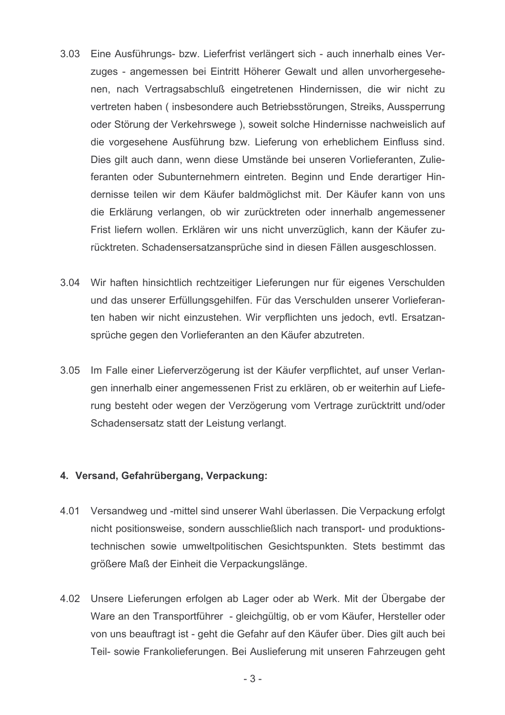- $3.03$ Eine Ausführungs- bzw. Lieferfrist verlängert sich - auch innerhalb eines Verzuges - angemessen bei Eintritt Höherer Gewalt und allen unvorhergesehenen, nach Vertragsabschluß eingetretenen Hindernissen, die wir nicht zu vertreten haben (insbesondere auch Betriebsstörungen, Streiks, Aussperrung oder Störung der Verkehrswege), soweit solche Hindernisse nachweislich auf die vorgesehene Ausführung bzw. Lieferung von erheblichem Einfluss sind. Dies gilt auch dann, wenn diese Umstände bei unseren Vorlieferanten, Zulieferanten oder Subunternehmern eintreten. Beginn und Ende derartiger Hindernisse teilen wir dem Käufer baldmöglichst mit. Der Käufer kann von uns die Erklärung verlangen, ob wir zurücktreten oder innerhalb angemessener Frist liefern wollen. Erklären wir uns nicht unverzüglich, kann der Käufer zurücktreten. Schadensersatzansprüche sind in diesen Fällen ausgeschlossen.
- 3.04 Wir haften hinsichtlich rechtzeitiger Lieferungen nur für eigenes Verschulden und das unserer Erfüllungsgehilfen. Für das Verschulden unserer Vorlieferanten haben wir nicht einzustehen. Wir verpflichten uns jedoch, evtl. Ersatzansprüche gegen den Vorlieferanten an den Käufer abzutreten.
- 3.05 Im Falle einer Lieferverzögerung ist der Käufer verpflichtet, auf unser Verlangen innerhalb einer angemessenen Frist zu erklären, ob er weiterhin auf Lieferung besteht oder wegen der Verzögerung vom Vertrage zurücktritt und/oder Schadensersatz statt der Leistung verlangt.

### 4. Versand, Gefahrübergang, Verpackung:

- 4.01 Versandweg und -mittel sind unserer Wahl überlassen. Die Verpackung erfolgt nicht positionsweise, sondern ausschließlich nach transport- und produktionstechnischen sowie umweltpolitischen Gesichtspunkten. Stets bestimmt das größere Maß der Einheit die Verpackungslänge.
- 4.02 Unsere Lieferungen erfolgen ab Lager oder ab Werk. Mit der Übergabe der Ware an den Transportführer - gleichgültig, ob er vom Käufer, Hersteller oder von uns beauftragt ist - geht die Gefahr auf den Käufer über. Dies gilt auch bei Teil- sowie Frankolieferungen. Bei Auslieferung mit unseren Fahrzeugen geht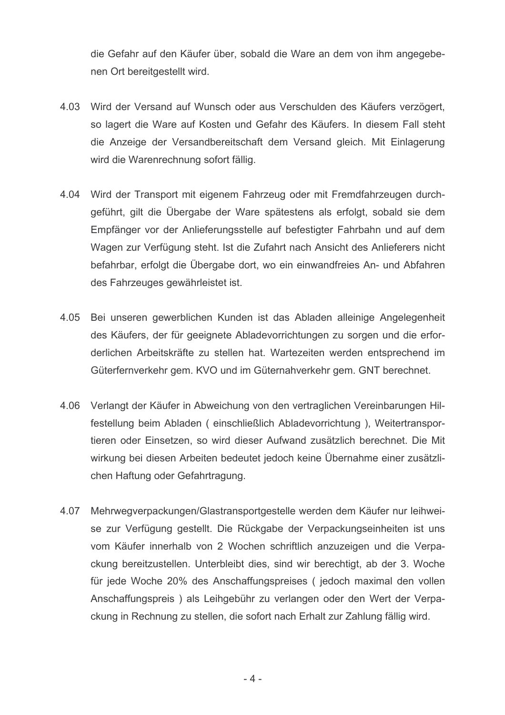die Gefahr auf den Käufer über, sobald die Ware an dem von ihm angegebenen Ort bereitgestellt wird.

- 4.03 Wird der Versand auf Wunsch oder aus Verschulden des Käufers verzögert, so lagert die Ware auf Kosten und Gefahr des Käufers. In diesem Fall steht die Anzeige der Versandbereitschaft dem Versand gleich. Mit Einlagerung wird die Warenrechnung sofort fällig.
- 4.04 Wird der Transport mit eigenem Fahrzeug oder mit Fremdfahrzeugen durchgeführt, gilt die Übergabe der Ware spätestens als erfolgt, sobald sie dem Empfänger vor der Anlieferungsstelle auf befestigter Fahrbahn und auf dem Wagen zur Verfügung steht. Ist die Zufahrt nach Ansicht des Anlieferers nicht befahrbar, erfolgt die Übergabe dort, wo ein einwandfreies An- und Abfahren des Fahrzeuges gewährleistet ist.
- 4.05 Bei unseren gewerblichen Kunden ist das Abladen alleinige Angelegenheit des Käufers, der für geeignete Abladevorrichtungen zu sorgen und die erforderlichen Arbeitskräfte zu stellen hat. Wartezeiten werden entsprechend im Güterfernverkehr gem. KVO und im Güternahverkehr gem. GNT berechnet.
- 4.06 Verlangt der Käufer in Abweichung von den vertraglichen Vereinbarungen Hilfestellung beim Abladen (einschließlich Abladevorrichtung), Weitertransportieren oder Einsetzen, so wird dieser Aufwand zusätzlich berechnet. Die Mit wirkung bei diesen Arbeiten bedeutet jedoch keine Übernahme einer zusätzlichen Haftung oder Gefahrtragung.
- 4.07 Mehrwegverpackungen/Glastransportgestelle werden dem Käufer nur leihweise zur Verfügung gestellt. Die Rückgabe der Verpackungseinheiten ist uns vom Käufer innerhalb von 2 Wochen schriftlich anzuzeigen und die Verpackung bereitzustellen. Unterbleibt dies, sind wir berechtigt, ab der 3. Woche für jede Woche 20% des Anschaffungspreises (jedoch maximal den vollen Anschaffungspreis) als Leihgebühr zu verlangen oder den Wert der Verpackung in Rechnung zu stellen, die sofort nach Erhalt zur Zahlung fällig wird.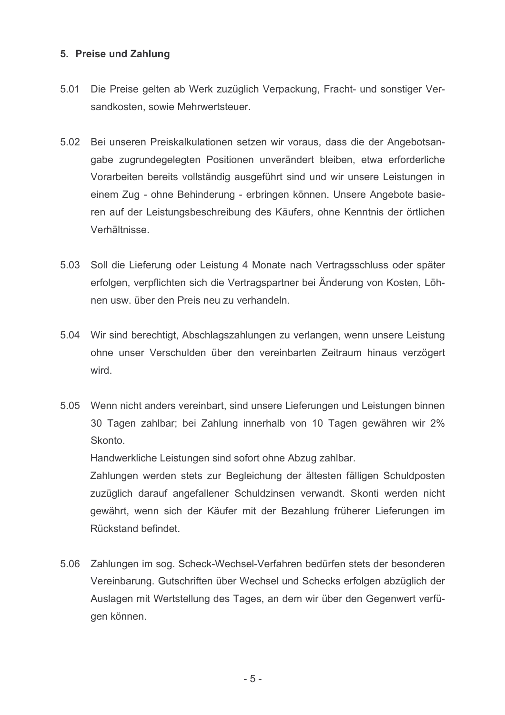#### 5. Preise und Zahlung

- $5.01$ Die Preise gelten ab Werk zuzüglich Verpackung, Fracht- und sonstiger Versandkosten, sowie Mehrwertsteuer.
- 5.02 Bei unseren Preiskalkulationen setzen wir voraus, dass die der Angebotsangabe zugrundegelegten Positionen unverändert bleiben, etwa erforderliche Vorarbeiten bereits vollständig ausgeführt sind und wir unsere Leistungen in einem Zug - ohne Behinderung - erbringen können. Unsere Angebote basieren auf der Leistungsbeschreibung des Käufers, ohne Kenntnis der örtlichen Verhältnisse.
- 5.03 Soll die Lieferung oder Leistung 4 Monate nach Vertragsschluss oder später erfolgen, verpflichten sich die Vertragspartner bei Änderung von Kosten, Löhnen usw. über den Preis neu zu verhandeln.
- 5.04 Wir sind berechtigt, Abschlagszahlungen zu verlangen, wenn unsere Leistung ohne unser Verschulden über den vereinbarten Zeitraum hinaus verzögert wird
- 5.05 Wenn nicht anders vereinbart, sind unsere Lieferungen und Leistungen binnen 30 Tagen zahlbar; bei Zahlung innerhalb von 10 Tagen gewähren wir 2% Skonto.

Handwerkliche Leistungen sind sofort ohne Abzug zahlbar.

Zahlungen werden stets zur Begleichung der ältesten fälligen Schuldposten zuzüglich darauf angefallener Schuldzinsen verwandt. Skonti werden nicht gewährt, wenn sich der Käufer mit der Bezahlung früherer Lieferungen im Rückstand befindet.

5.06 Zahlungen im sog. Scheck-Wechsel-Verfahren bedürfen stets der besonderen Vereinbarung. Gutschriften über Wechsel und Schecks erfolgen abzüglich der Auslagen mit Wertstellung des Tages, an dem wir über den Gegenwert verfügen können.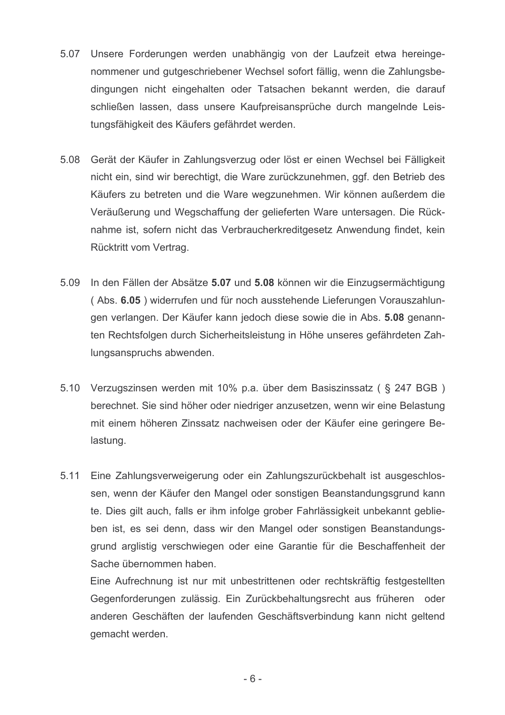- 5.07 Unsere Forderungen werden unabhängig von der Laufzeit etwa hereingenommener und gutgeschriebener Wechsel sofort fällig, wenn die Zahlungsbedingungen nicht eingehalten oder Tatsachen bekannt werden, die darauf schließen lassen, dass unsere Kaufpreisansprüche durch mangelnde Leistungsfähigkeit des Käufers gefährdet werden.
- 5.08 Gerät der Käufer in Zahlungsverzug oder löst er einen Wechsel bei Fälligkeit nicht ein, sind wir berechtigt, die Ware zurückzunehmen, ggf. den Betrieb des Käufers zu betreten und die Ware wegzunehmen. Wir können außerdem die Veräußerung und Wegschaffung der gelieferten Ware untersagen. Die Rücknahme ist, sofern nicht das Verbraucherkreditgesetz Anwendung findet, kein Rücktritt vom Vertrag.
- 5.09 In den Fällen der Absätze 5.07 und 5.08 können wir die Einzugsermächtigung (Abs. 6.05) widerrufen und für noch ausstehende Lieferungen Vorauszahlungen verlangen. Der Käufer kann jedoch diese sowie die in Abs. 5.08 genannten Rechtsfolgen durch Sicherheitsleistung in Höhe unseres gefährdeten Zahlungsanspruchs abwenden.
- 5.10 Verzugszinsen werden mit 10% p.a. über dem Basiszinssatz ( § 247 BGB ) berechnet. Sie sind höher oder niedriger anzusetzen, wenn wir eine Belastung mit einem höheren Zinssatz nachweisen oder der Käufer eine geringere Belastung.
- $5.11$ Eine Zahlungsverweigerung oder ein Zahlungszurückbehalt ist ausgeschlossen, wenn der Käufer den Mangel oder sonstigen Beanstandungsgrund kann te. Dies gilt auch, falls er ihm infolge grober Fahrlässigkeit unbekannt geblieben ist, es sei denn, dass wir den Mangel oder sonstigen Beanstandungsgrund arglistig verschwiegen oder eine Garantie für die Beschaffenheit der Sache übernommen haben.

Eine Aufrechnung ist nur mit unbestrittenen oder rechtskräftig festgestellten Gegenforderungen zulässig. Ein Zurückbehaltungsrecht aus früheren oder anderen Geschäften der laufenden Geschäftsverbindung kann nicht geltend gemacht werden.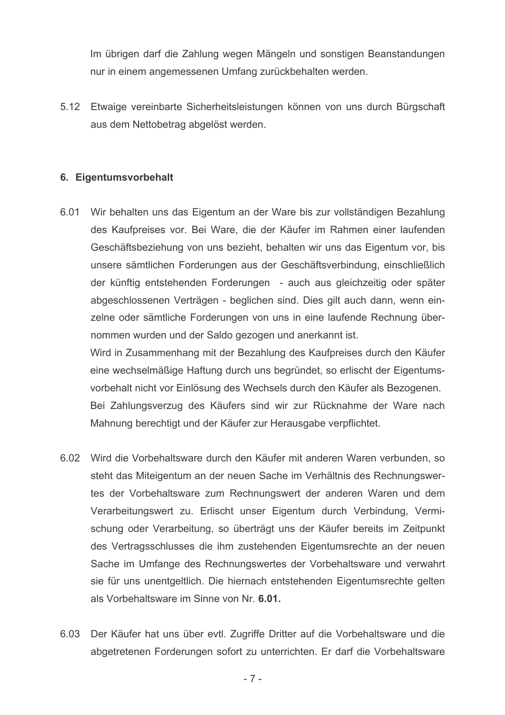Im übrigen darf die Zahlung wegen Mängeln und sonstigen Beanstandungen nur in einem angemessenen Umfang zurückbehalten werden.

5.12 Etwaige vereinbarte Sicherheitsleistungen können von uns durch Bürgschaft aus dem Nettobetrag abgelöst werden.

#### 6. Eigentumsvorbehalt

6.01 Wir behalten uns das Eigentum an der Ware bis zur vollständigen Bezahlung des Kaufpreises vor. Bei Ware, die der Käufer im Rahmen einer laufenden Geschäftsbeziehung von uns bezieht, behalten wir uns das Eigentum vor, bis unsere sämtlichen Forderungen aus der Geschäftsverbindung, einschließlich der künftig entstehenden Forderungen - auch aus gleichzeitig oder später abgeschlossenen Verträgen - beglichen sind. Dies gilt auch dann, wenn einzelne oder sämtliche Forderungen von uns in eine laufende Rechnung übernommen wurden und der Saldo gezogen und anerkannt ist.

Wird in Zusammenhang mit der Bezahlung des Kaufpreises durch den Käufer eine wechselmäßige Haftung durch uns begründet, so erlischt der Eigentumsvorbehalt nicht vor Einlösung des Wechsels durch den Käufer als Bezogenen. Bei Zahlungsverzug des Käufers sind wir zur Rücknahme der Ware nach Mahnung berechtigt und der Käufer zur Herausgabe verpflichtet.

- 6.02 Wird die Vorbehaltsware durch den Käufer mit anderen Waren verbunden, so steht das Miteigentum an der neuen Sache im Verhältnis des Rechnungswertes der Vorbehaltsware zum Rechnungswert der anderen Waren und dem Verarbeitungswert zu. Erlischt unser Eigentum durch Verbindung, Vermischung oder Verarbeitung, so überträgt uns der Käufer bereits im Zeitpunkt des Vertragsschlusses die ihm zustehenden Eigentumsrechte an der neuen Sache im Umfange des Rechnungswertes der Vorbehaltsware und verwahrt sie für uns unentgeltlich. Die hiernach entstehenden Eigentumsrechte gelten als Vorbehaltsware im Sinne von Nr. 6.01.
- 6.03 Der Käufer hat uns über evtl. Zugriffe Dritter auf die Vorbehaltsware und die abgetretenen Forderungen sofort zu unterrichten. Er darf die Vorbehaltsware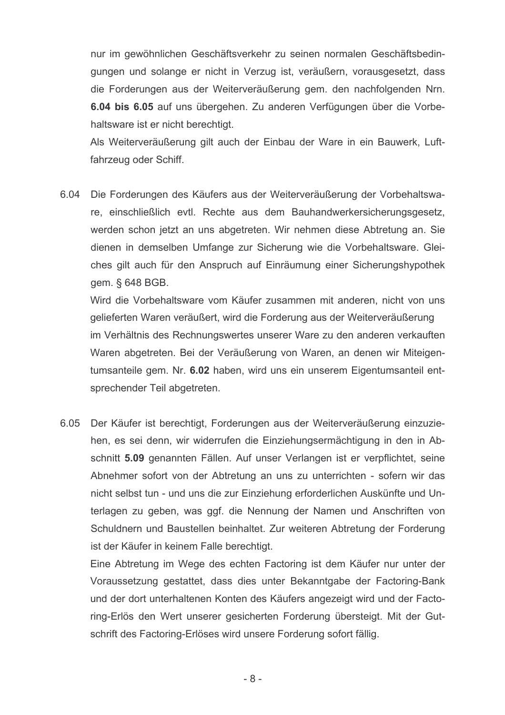nur im gewöhnlichen Geschäftsverkehr zu seinen normalen Geschäftsbedingungen und solange er nicht in Verzug ist, veräußern, vorausgesetzt, dass die Forderungen aus der Weiterveräußerung gem. den nachfolgenden Nrn. 6.04 bis 6.05 auf uns übergehen. Zu anderen Verfügungen über die Vorbehaltsware ist er nicht berechtigt.

Als Weiterveräußerung gilt auch der Einbau der Ware in ein Bauwerk, Luftfahrzeug oder Schiff.

6.04 Die Forderungen des Käufers aus der Weiterveräußerung der Vorbehaltsware, einschließlich evtl. Rechte aus dem Bauhandwerkersicherungsgesetz, werden schon jetzt an uns abgetreten. Wir nehmen diese Abtretung an. Sie dienen in demselben Umfange zur Sicherung wie die Vorbehaltsware. Gleiches gilt auch für den Anspruch auf Einräumung einer Sicherungshypothek gem. § 648 BGB.

Wird die Vorbehaltsware vom Käufer zusammen mit anderen, nicht von uns gelieferten Waren veräußert, wird die Forderung aus der Weiterveräußerung im Verhältnis des Rechnungswertes unserer Ware zu den anderen verkauften Waren abgetreten. Bei der Veräußerung von Waren, an denen wir Miteigentumsanteile gem. Nr. 6.02 haben, wird uns ein unserem Eigentumsanteil entsprechender Teil abgetreten.

6.05 Der Käufer ist berechtigt, Forderungen aus der Weiterveräußerung einzuziehen, es sei denn, wir widerrufen die Einziehungsermächtigung in den in Abschnitt 5.09 genannten Fällen. Auf unser Verlangen ist er verpflichtet, seine Abnehmer sofort von der Abtretung an uns zu unterrichten - sofern wir das nicht selbst tun - und uns die zur Einziehung erforderlichen Auskünfte und Unterlagen zu geben, was ggf. die Nennung der Namen und Anschriften von Schuldnern und Baustellen beinhaltet. Zur weiteren Abtretung der Forderung ist der Käufer in keinem Falle berechtigt.

Eine Abtretung im Wege des echten Factoring ist dem Käufer nur unter der Voraussetzung gestattet, dass dies unter Bekanntgabe der Factoring-Bank und der dort unterhaltenen Konten des Käufers angezeigt wird und der Factoring-Erlös den Wert unserer gesicherten Forderung übersteigt. Mit der Gutschrift des Factoring-Erlöses wird unsere Forderung sofort fällig.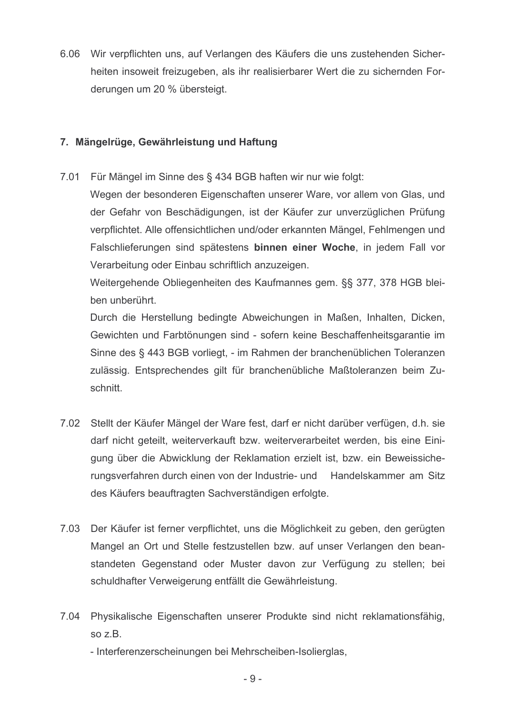6.06 Wir verpflichten uns. auf Verlangen des Käufers die uns zustehenden Sicherheiten insoweit freizugeben, als ihr realisierbarer Wert die zu sichernden Forderungen um 20 % übersteigt.

## 7. Mängelrüge, Gewährleistung und Haftung

 $7.01$ Für Mängel im Sinne des § 434 BGB haften wir nur wie folgt:

Wegen der besonderen Eigenschaften unserer Ware, vor allem von Glas, und der Gefahr von Beschädigungen, ist der Käufer zur unverzüglichen Prüfung verpflichtet. Alle offensichtlichen und/oder erkannten Mängel, Fehlmengen und Falschlieferungen sind spätestens binnen einer Woche, in jedem Fall vor Verarbeitung oder Einbau schriftlich anzuzeigen.

Weitergehende Obliegenheiten des Kaufmannes gem. §§ 377, 378 HGB bleiben unberührt.

Durch die Herstellung bedingte Abweichungen in Maßen, Inhalten, Dicken, Gewichten und Farbtönungen sind - sofern keine Beschaffenheitsgarantie im Sinne des § 443 BGB vorliegt, - im Rahmen der branchenüblichen Toleranzen zulässig. Entsprechendes gilt für branchenübliche Maßtoleranzen beim Zuschnitt.

- 7.02 Stellt der Käufer Mängel der Ware fest, darf er nicht darüber verfügen, d.h. sie darf nicht geteilt, weiterverkauft bzw. weiterverarbeitet werden, bis eine Einigung über die Abwicklung der Reklamation erzielt ist, bzw. ein Beweissicherungsverfahren durch einen von der Industrie- und Handelskammer am Sitz des Käufers beauftragten Sachverständigen erfolgte.
- 7.03 Der Käufer ist ferner verpflichtet, uns die Möglichkeit zu geben, den gerügten Mangel an Ort und Stelle festzustellen bzw. auf unser Verlangen den beanstandeten Gegenstand oder Muster davon zur Verfügung zu stellen; bei schuldhafter Verweigerung entfällt die Gewährleistung.
- 7.04 Physikalische Eigenschaften unserer Produkte sind nicht reklamationsfähig,  $soZ.B.$ 
	- Interferenzerscheinungen bei Mehrscheiben-Isolierglas,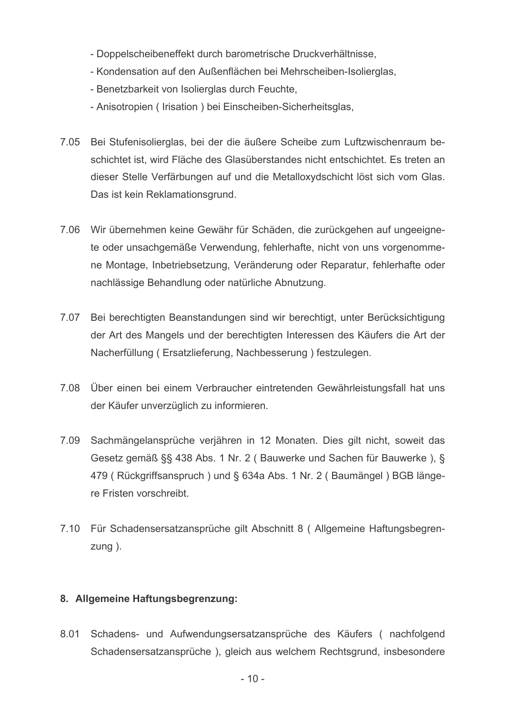- Doppelscheibeneffekt durch barometrische Druckverhältnisse.
- Kondensation auf den Außenflächen bei Mehrscheiben-Isolierglas,
- Benetzbarkeit von Isolierglas durch Feuchte,
- Anisotropien (Irisation) bei Einscheiben-Sicherheitsglas,
- 7.05 Bei Stufenisolierglas, bei der die äußere Scheibe zum Luftzwischenraum beschichtet ist, wird Fläche des Glasüberstandes nicht entschichtet. Es treten an dieser Stelle Verfärbungen auf und die Metalloxydschicht löst sich vom Glas. Das ist kein Reklamationsgrund.
- 7.06 Wir übernehmen keine Gewähr für Schäden, die zurückgehen auf ungeeignete oder unsachgemäße Verwendung, fehlerhafte, nicht von uns vorgenommene Montage, Inbetriebsetzung, Veränderung oder Reparatur, fehlerhafte oder nachlässige Behandlung oder natürliche Abnutzung.
- 7.07 Bei berechtigten Beanstandungen sind wir berechtigt, unter Berücksichtigung der Art des Mangels und der berechtigten Interessen des Käufers die Art der Nacherfüllung (Ersatzlieferung, Nachbesserung) festzulegen.
- 7.08 Über einen bei einem Verbraucher eintretenden Gewährleistungsfall hat uns der Käufer unverzüglich zu informieren.
- 7.09 Sachmängelansprüche verjähren in 12 Monaten. Dies gilt nicht, soweit das Gesetz gemäß §§ 438 Abs. 1 Nr. 2 (Bauwerke und Sachen für Bauwerke), § 479 (Rückgriffsanspruch) und § 634a Abs. 1 Nr. 2 (Baumängel) BGB längere Fristen vorschreibt.
- 7.10 Für Schadensersatzansprüche gilt Abschnitt 8 (Allgemeine Haftungsbegren $z$ ung $)$ .

## 8. Allgemeine Haftungsbegrenzung:

8.01 Schadens- und Aufwendungsersatzansprüche des Käufers (nachfolgend Schadensersatzansprüche), gleich aus welchem Rechtsgrund, insbesondere